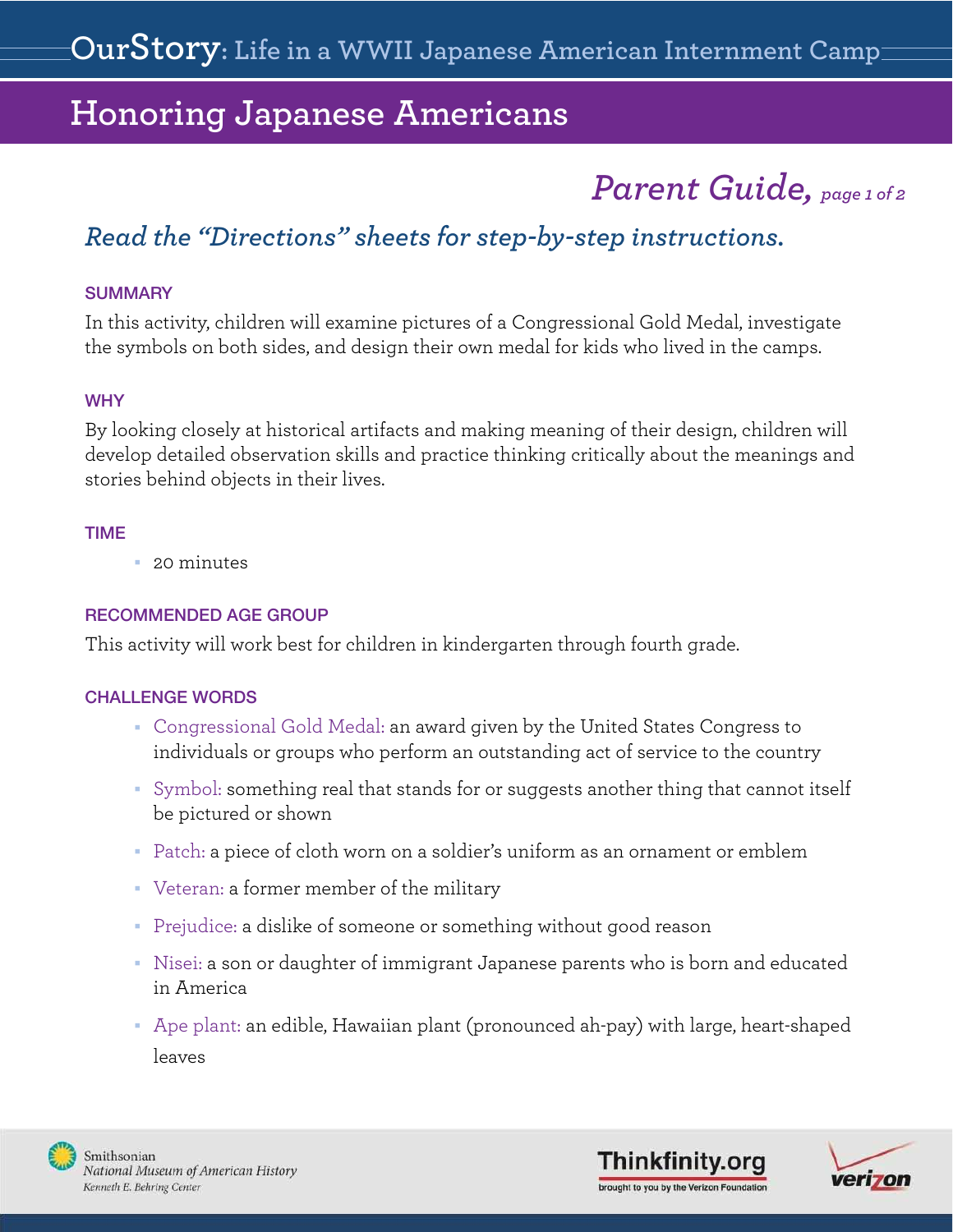# *Parent Guide, page 1 of 2*

## *Read the ["Directions"](#page-4-0) sheets for step-by-step instructions.*

#### **SUMMARY**

In this activity, children will examine pictures of a Congressional Gold Medal, investigate the symbols on both sides, and design their own medal for kids who lived in the camps.

#### **WHY**

By looking closely at historical artifacts and making meaning of their design, children will develop detailed observation skills and practice thinking critically about the meanings and stories behind objects in their lives.

#### TIME

 $\blacksquare$  20 minutes

### RECOMMENDED AGE GROUP

This activity will work best for children in kindergarten through fourth grade.

#### CHALLENGE WORDS

- Congressional Gold Medal: an award given by the United States Congress to individuals or groups who perform an outstanding act of service to the country
- Symbol: something real that stands for or suggests another thing that cannot itself be pictured or shown
- <sup>n</sup> Patch: a piece of cloth worn on a soldier's uniform as an ornament or emblem
- <sup>n</sup> Veteran: a former member of the military
- Prejudice: a dislike of someone or something without good reason
- <sup>n</sup> Nisei: a son or daughter of immigrant Japanese parents who is born and educated in America
- <sup>n</sup> Ape plant: an edible, Hawaiian plant (pronounced ah-pay) with large, heart-shaped leaves



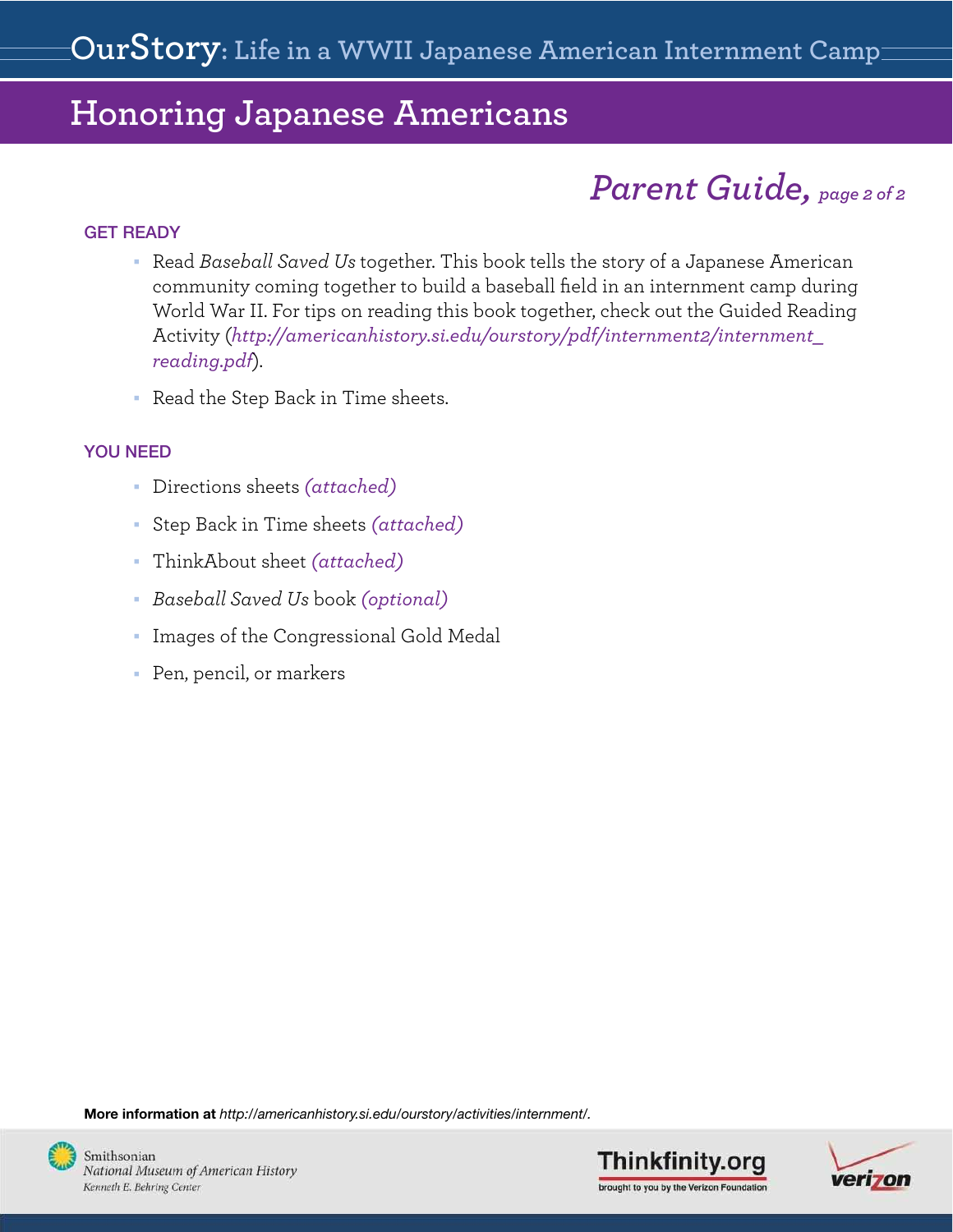# *Parent Guide, page 2 of 2*

### GET READY

- <sup>n</sup> Read *Baseball Saved Us* together. This book tells the story of a Japanese American community coming together to build a baseball field in an internment camp during World War II. For tips on reading this book together, check out the Guided Reading Activity (*http://americanhistory.si.edu/ourstory/pdf/internment2/internment\_ reading.pdf*).
- Read the Step Back in Time sheets.

### YOU NEED

- <sup>n</sup> [Directions sheets](#page-4-0) *(attached)*
- <sup>n</sup> [Step Back in Time sheets](#page-2-0) *(attached)*
- [ThinkAbout sheet](#page-2-0) *(attached)*
- <sup>n</sup> *Baseball Saved Us* book *(optional)*
- <sup>n</sup> [Images of the Congressional Gold Medal](#page-9-0)
- Pen, pencil, or markers

More information at *http://americanhistory.si.edu/ourstory/activities/internment/.*





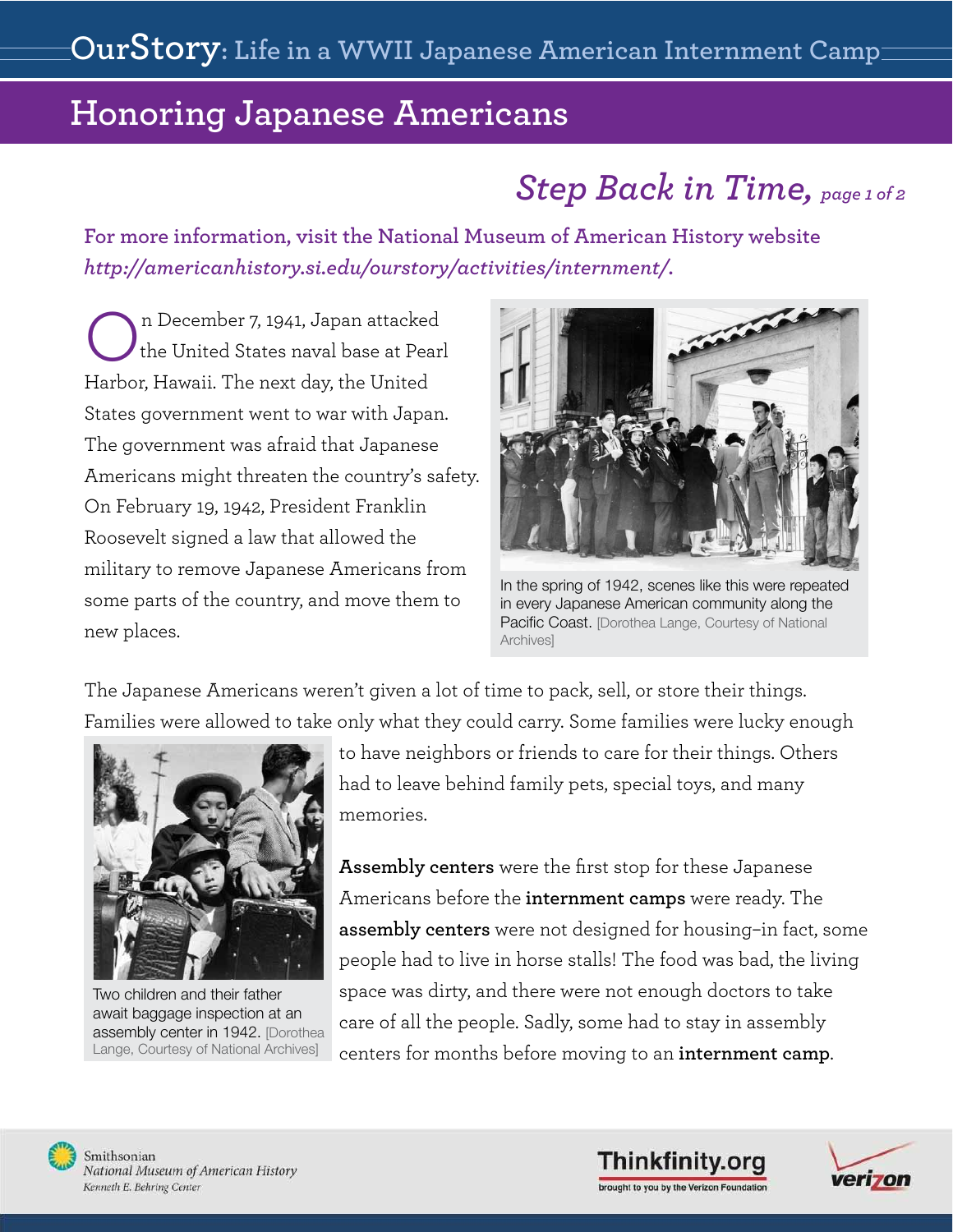# *Step Back in Time, page 1 of 2*

<span id="page-2-0"></span>**For more information, visit the National Museum of American History website**  *http://americanhistory.si.edu/ourstory/activities/internment/***.**

On December 7, 1941, Japan attacked<br>the United States naval base at Pear the United States naval base at Pearl Harbor, Hawaii. The next day, the United States government went to war with Japan. The government was afraid that Japanese Americans might threaten the country's safety. On February 19, 1942, President Franklin Roosevelt signed a law that allowed the military to remove Japanese Americans from some parts of the country, and move them to new places.



In the spring of 1942, scenes like this were repeated in every Japanese American community along the Pacific Coast. [Dorothea Lange, Courtesy of National Archives]

The Japanese Americans weren't given a lot of time to pack, sell, or store their things. Families were allowed to take only what they could carry. Some families were lucky enough



Two children and their father await baggage inspection at an assembly center in 1942. [Dorothea Lange, Courtesy of National Archives]

to have neighbors or friends to care for their things. Others had to leave behind family pets, special toys, and many memories.

**Assembly centers** were the first stop for these Japanese Americans before the **internment camps** were ready. The **assembly centers** were not designed for housing–in fact, some people had to live in horse stalls! The food was bad, the living space was dirty, and there were not enough doctors to take care of all the people. Sadly, some had to stay in assembly centers for months before moving to an **internment camp**.



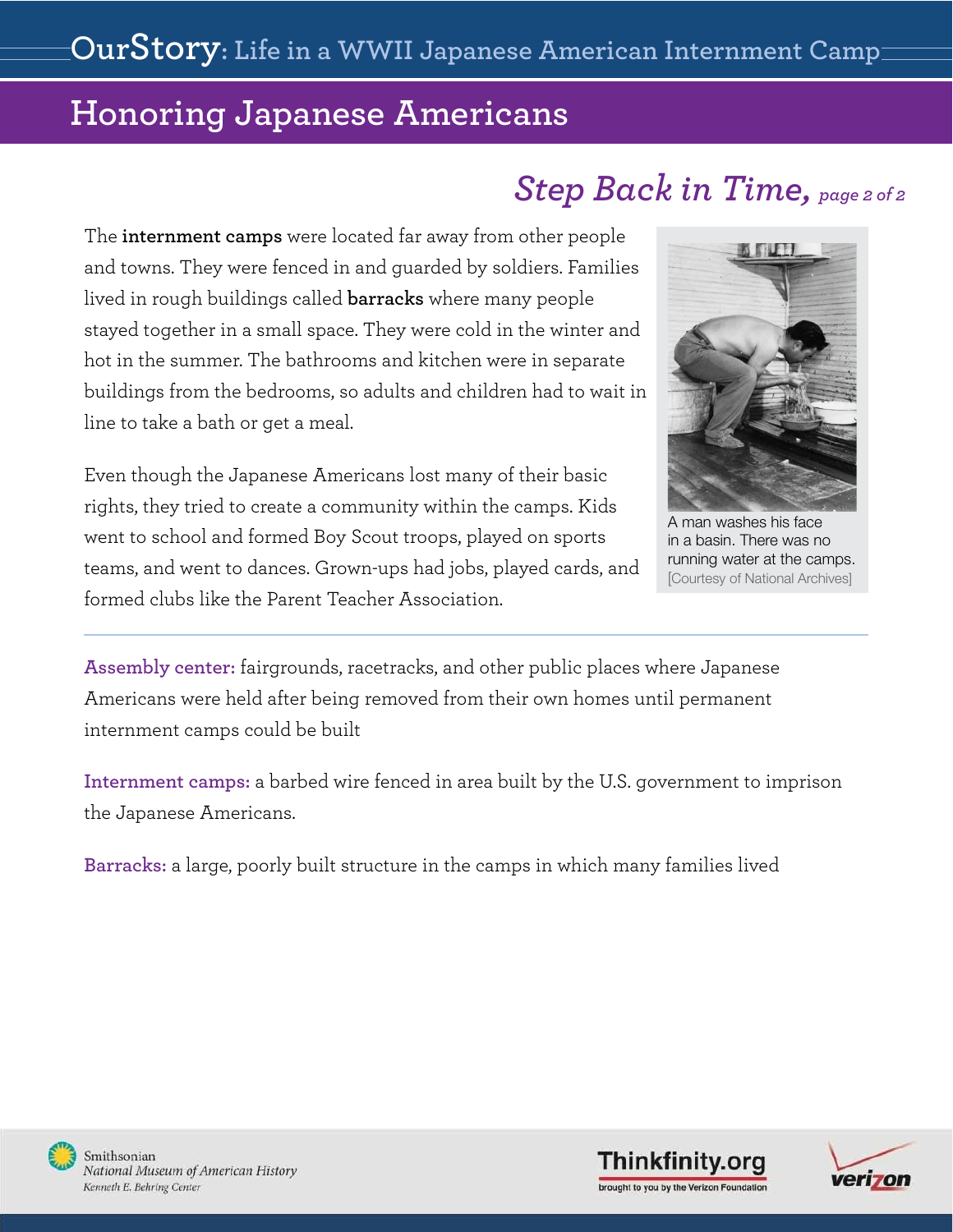# *Step Back in Time, page 2 of 2*

The **internment camps** were located far away from other people and towns. They were fenced in and guarded by soldiers. Families lived in rough buildings called **barracks** where many people stayed together in a small space. They were cold in the winter and hot in the summer. The bathrooms and kitchen were in separate buildings from the bedrooms, so adults and children had to wait in line to take a bath or get a meal.

Even though the Japanese Americans lost many of their basic rights, they tried to create a community within the camps. Kids went to school and formed Boy Scout troops, played on sports teams, and went to dances. Grown-ups had jobs, played cards, and formed clubs like the Parent Teacher Association.



A man washes his face in a basin. There was no running water at the camps. [Courtesy of National Archives]

**Assembly center:** fairgrounds, racetracks, and other public places where Japanese Americans were held after being removed from their own homes until permanent internment camps could be built

**Internment camps:** a barbed wire fenced in area built by the U.S. government to imprison the Japanese Americans.

**Barracks:** a large, poorly built structure in the camps in which many families lived





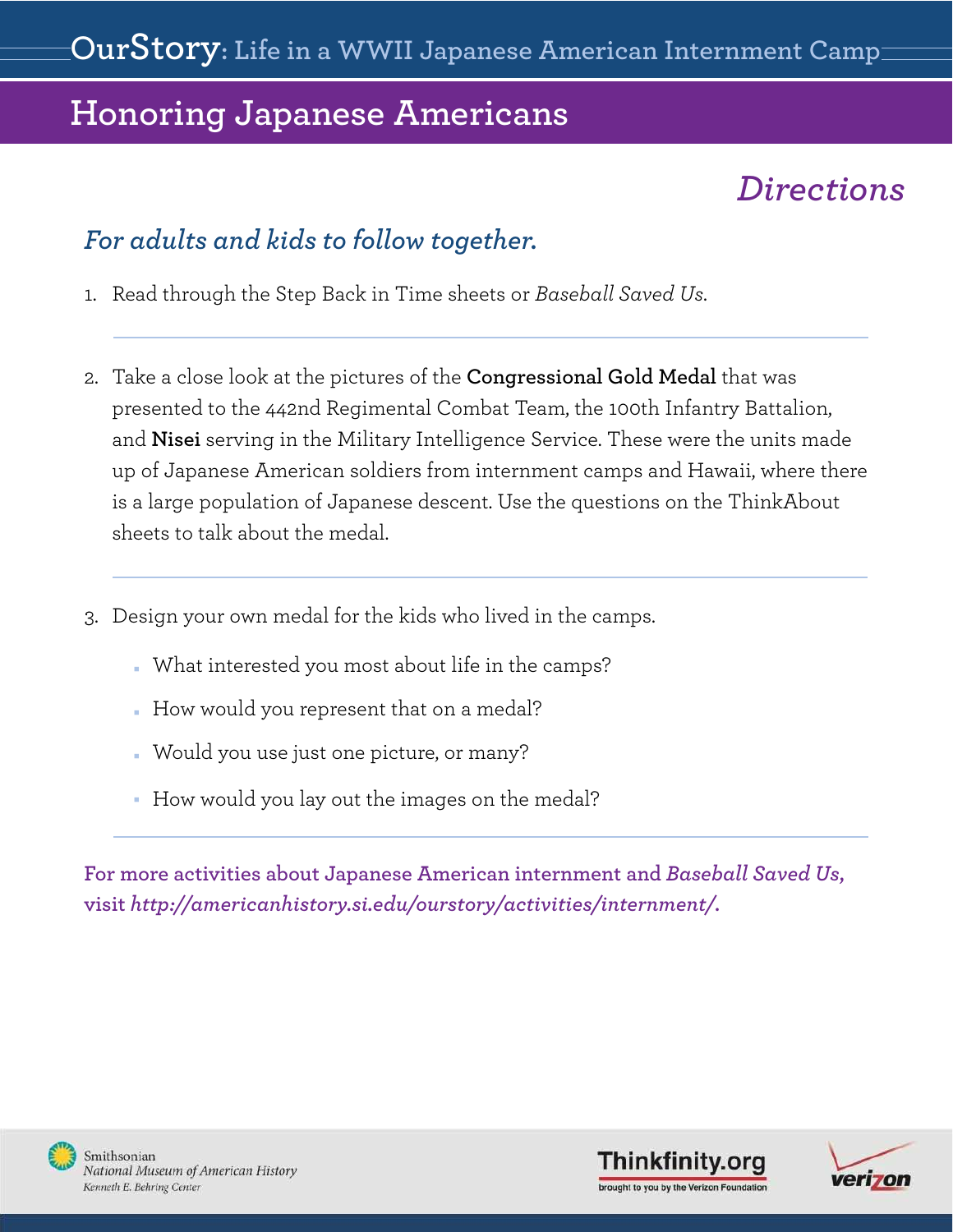# *Directions*

## <span id="page-4-0"></span>*For adults and kids to follow together.*

- 1. Read through the Step Back in Time sheets or *Baseball Saved Us*.
- 2. Take a close look at the pictures of the **[Congressional Gold Medal](#page-9-0)** that was presented to the 442nd Regimental Combat Team, the 100th Infantry Battalion, and **Nisei** serving in the Military Intelligence Service. These were the units made up of Japanese American soldiers from internment camps and Hawaii, where there is a large population of Japanese descent. Use the questions on the ThinkAbout sheets to talk about the medal.
- 3. Design your own medal for the kids who lived in the camps.
	- . What interested you most about life in the camps?
	- How would you represent that on a medal?
	- <sup>n</sup> Would you use just one picture, or many?
	- How would you lay out the images on the medal?

**For more activities about Japanese American internment and** *Baseball Saved Us***, visit** *http://americanhistory.si.edu/ourstory/activities/internment/***.**





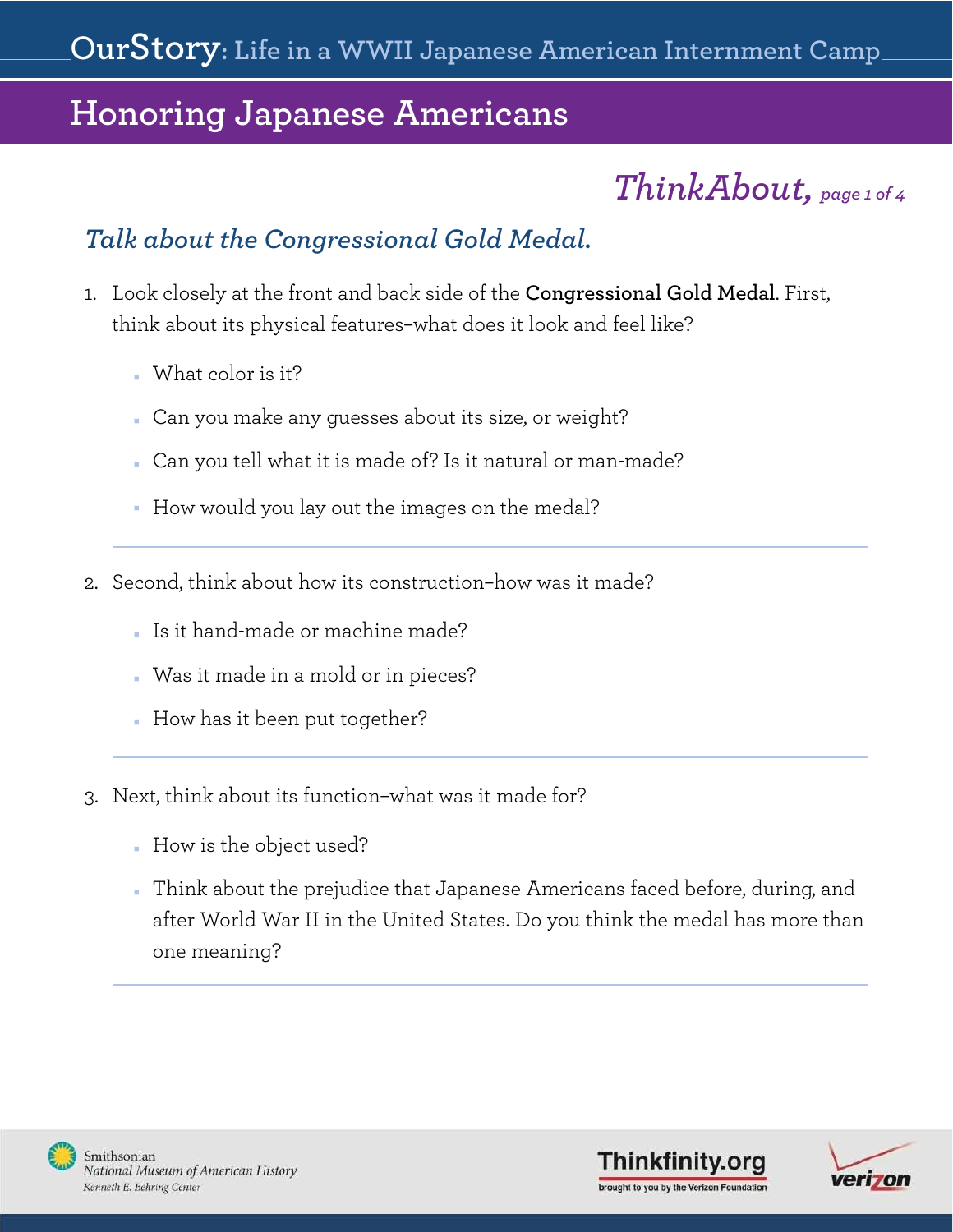# *ThinkAbout, page 1 of 4*

## *Talk about the Congressional Gold Medal.*

- 1. Look closely at the front and back side of the **Congressional Gold Medal**. First, think about its physical features–what does it look and feel like?
	- $W<sub>hat</sub>$  What color is it?
	- n Can you make any guesses about its size, or weight?
	- <sup>n</sup> Can you tell what it is made of? Is it natural or man-made?
	- How would you lay out the images on the medal?
- 2. Second, think about how its construction–how was it made?
	- Is it hand-made or machine made?
	- **Nas** it made in a mold or in pieces?
	- How has it been put together?
- 3. Next, think about its function–what was it made for?
	- How is the object used?
	- n Think about the prejudice that Japanese Americans faced before, during, and after World War II in the United States. Do you think the medal has more than one meaning?



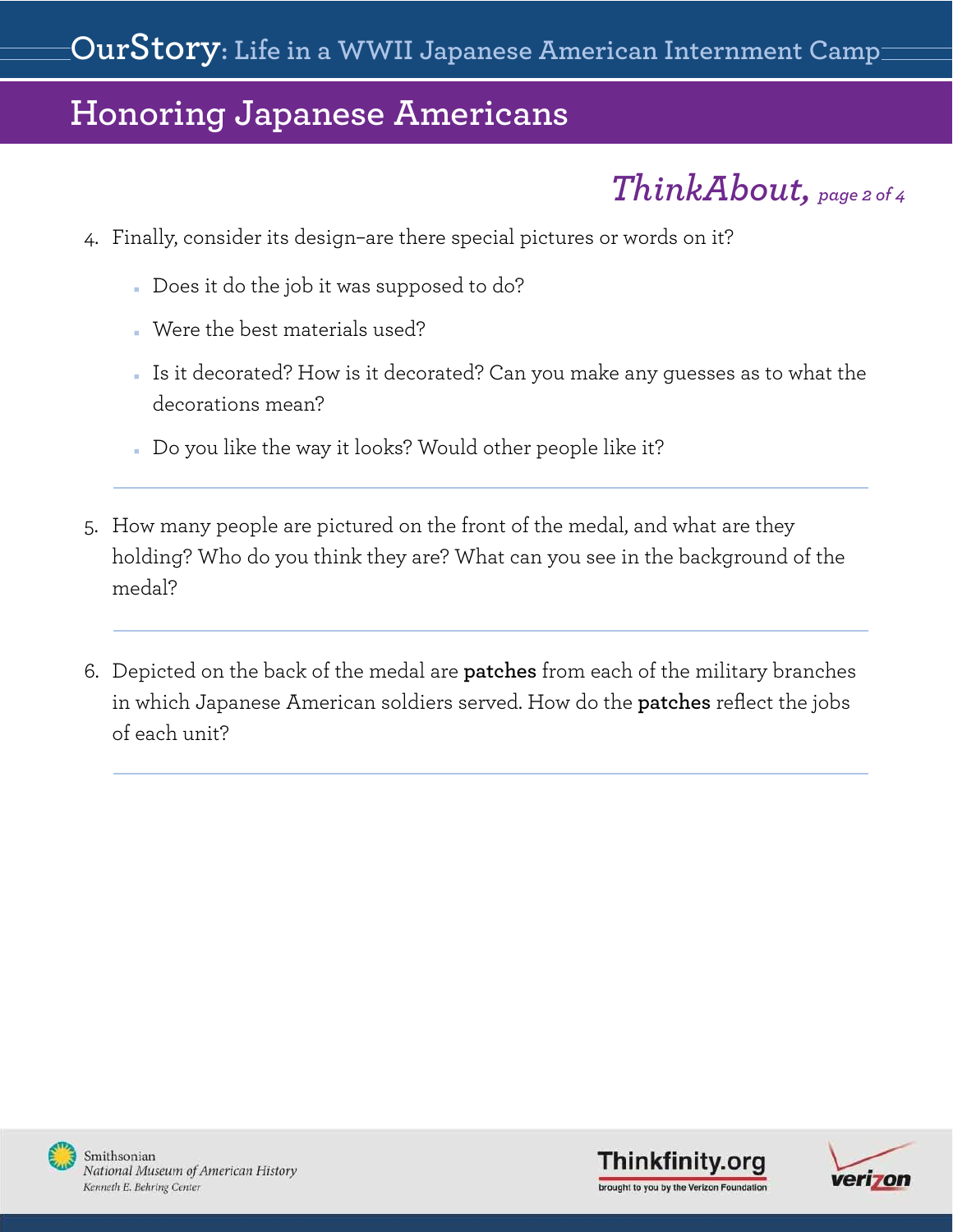*ThinkAbout, page 2 of 4*

- 4. Finally, consider its design–are there special pictures or words on it?
	- Does it do the job it was supposed to do?
	- . Were the best materials used?
	- <sup>n</sup> Is it decorated? How is it decorated? Can you make any guesses as to what the decorations mean?
	- Do you like the way it looks? Would other people like it?
- 5. How many people are pictured on the front of the medal, and what are they holding? Who do you think they are? What can you see in the background of the medal?
- 6. Depicted on the back of the medal are **patches** from each of the military branches in which Japanese American soldiers served. How do the **patches** reflect the jobs of each unit?





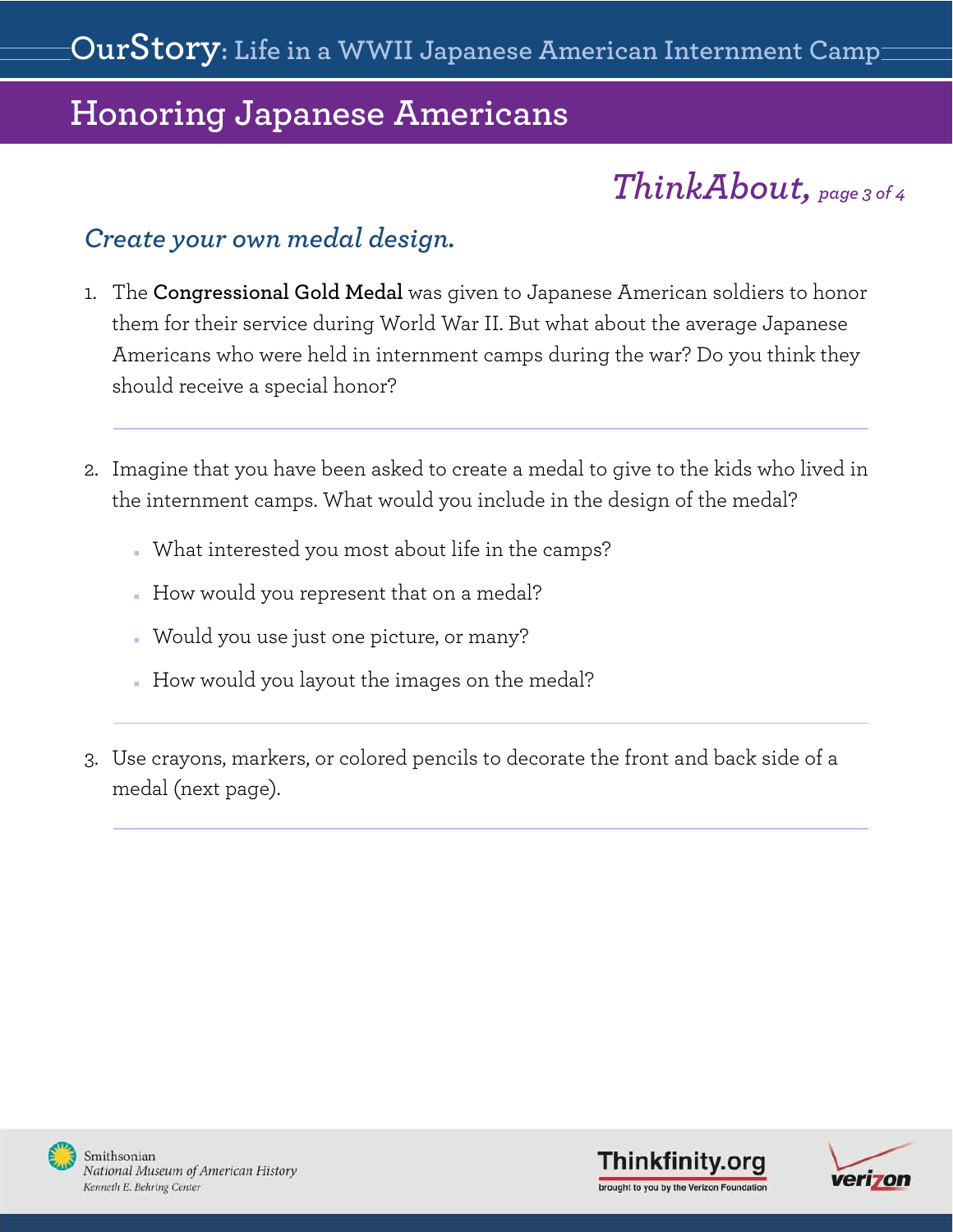# *ThinkAbout, page 3 of 4*

### *Create your own medal design.*

- 1. The **Congressional Gold Medal** was given to Japanese American soldiers to honor them for their service during World War II. But what about the average Japanese Americans who were held in internment camps during the war? Do you think they should receive a special honor?
- 2. Imagine that you have been asked to create a medal to give to the kids who lived in the internment camps. What would you include in the design of the medal?
	- . What interested you most about life in the camps?
	- How would you represent that on a medal?
	- <sup>n</sup> Would you use just one picture, or many?
	- . How would you layout the images on the medal?
- 3. Use crayons, markers, or colored pencils to decorate the front and back side of a meda[l \(next page\).](#page-8-0)





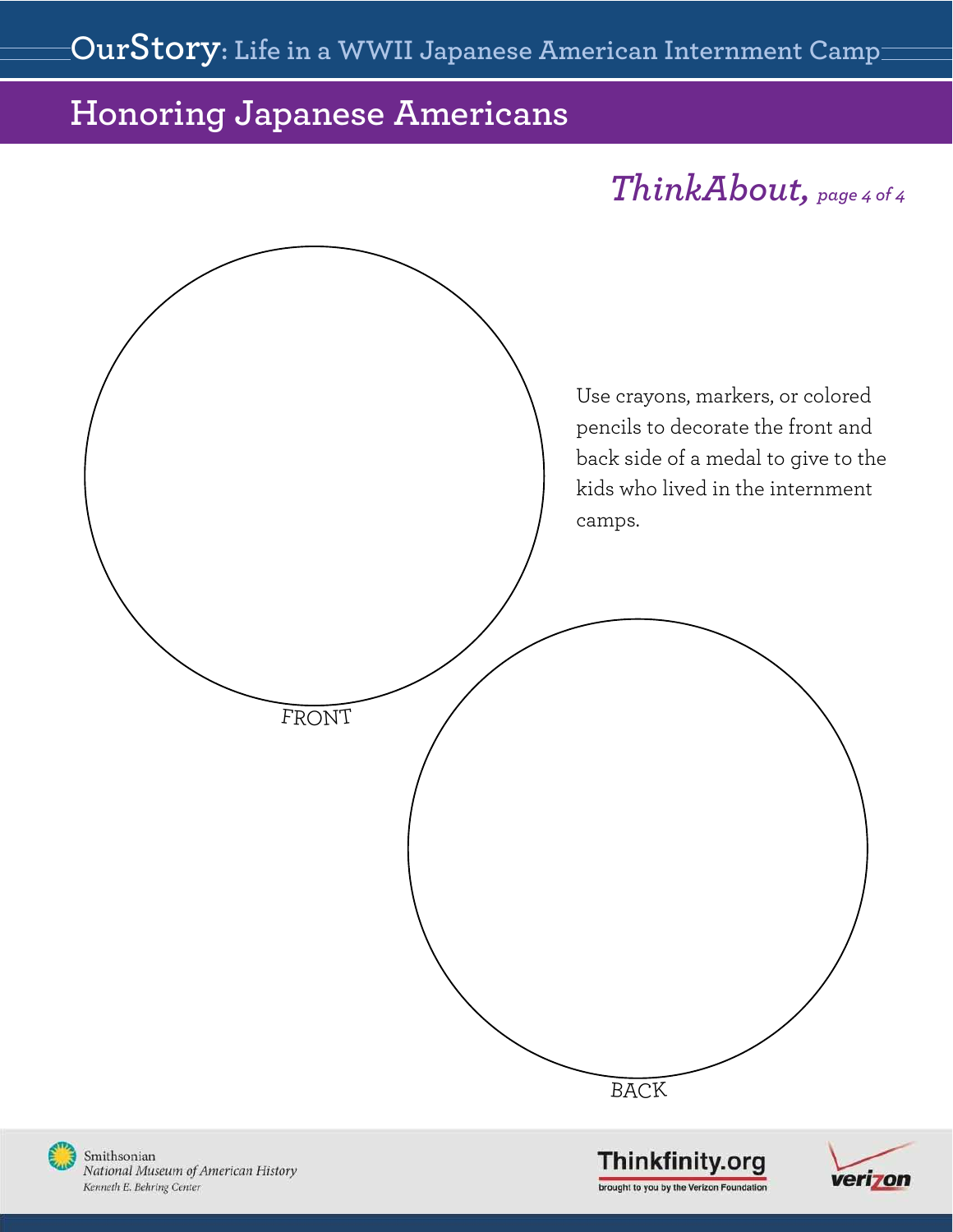# *ThinkAbout, page 4 of 4*

<span id="page-8-0"></span>

National Museum of American History Kenneth E. Behring Center

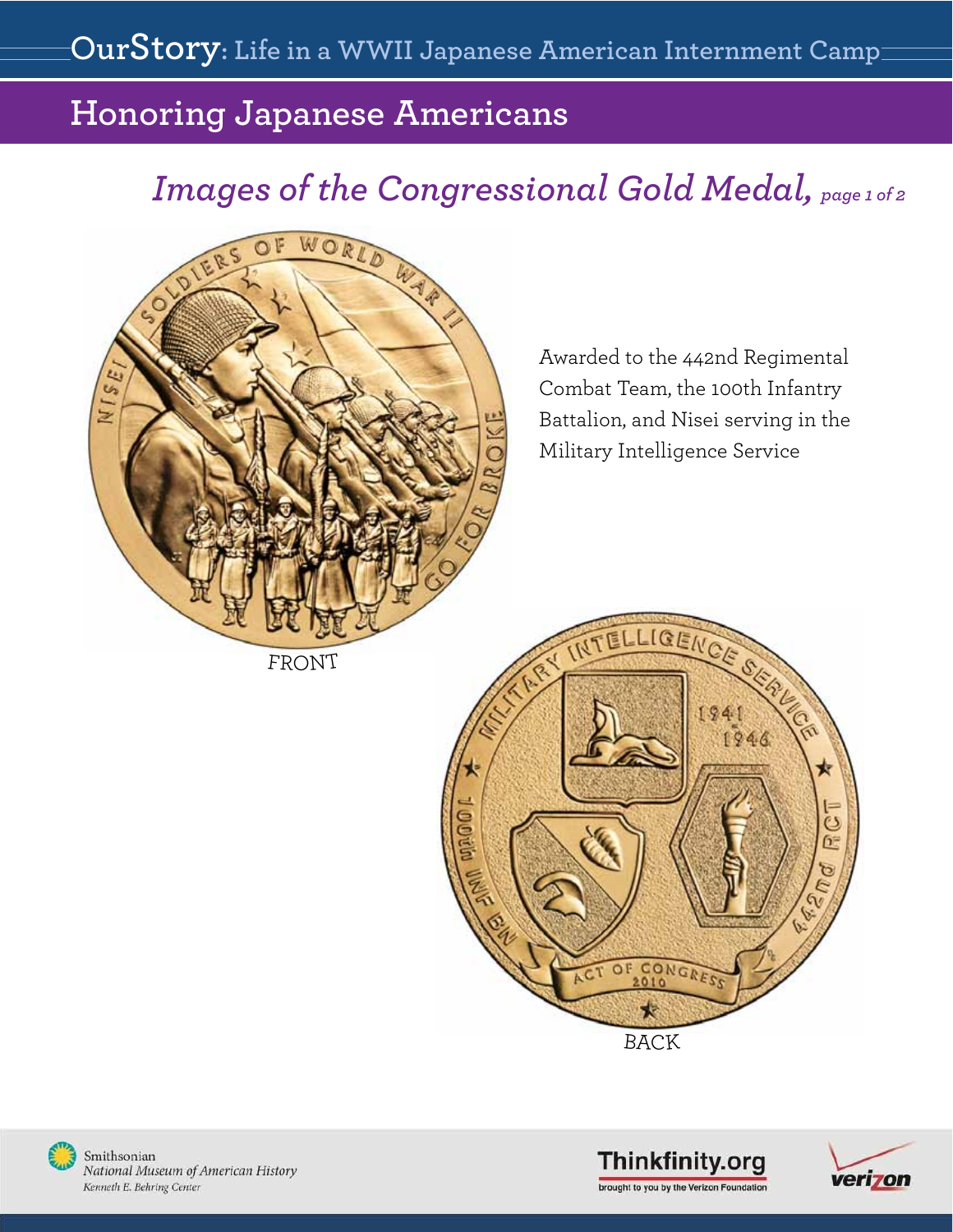# <span id="page-9-0"></span>*Images of the Congressional Gold Medal, page 1 of 2*



Awarded to the 442nd Regimental Combat Team, the 100th Infantry Battalion, and Nisei serving in the Military Intelligence Service

FRONT







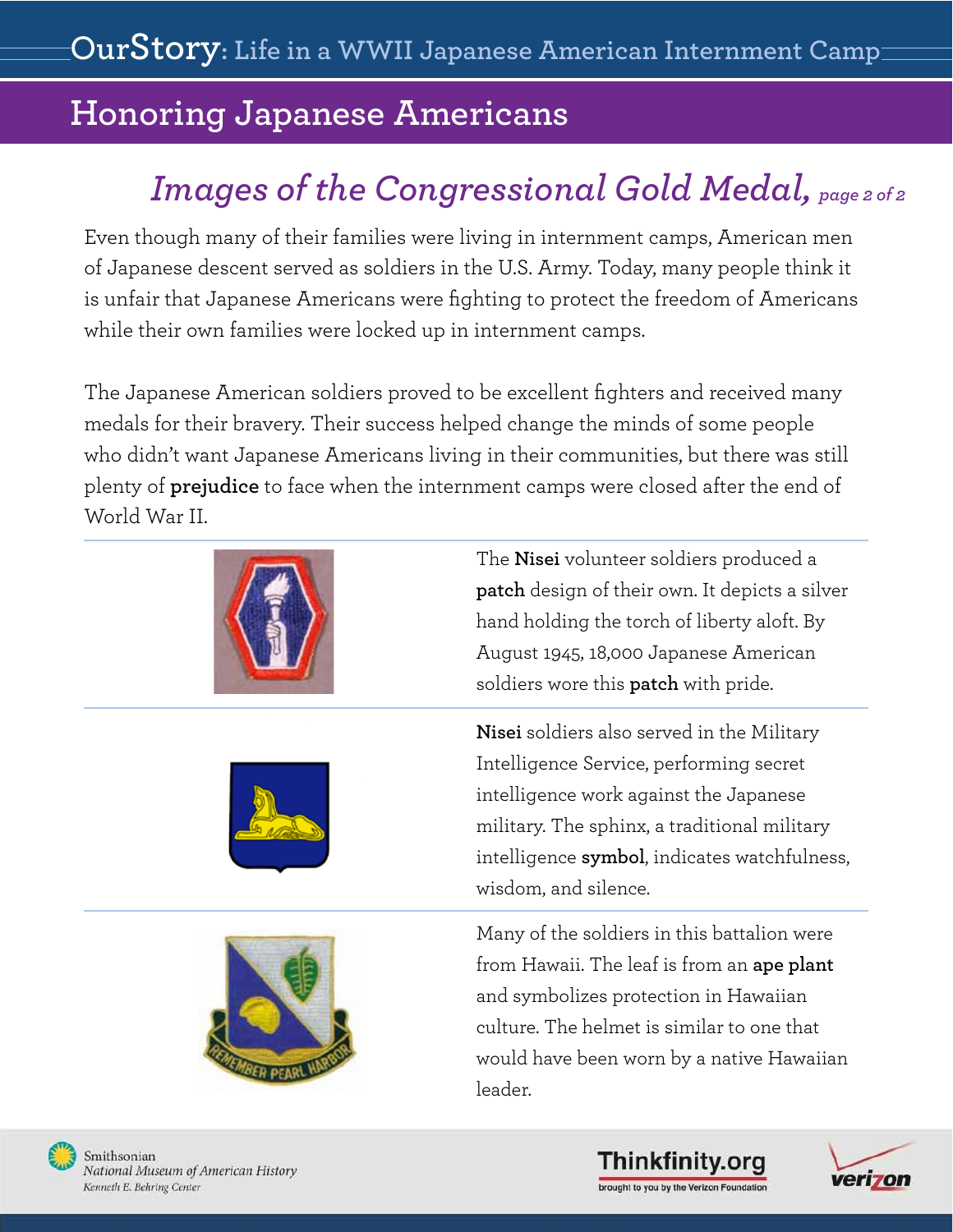# *Images of the Congressional Gold Medal, page 2 of 2*

Even though many of their families were living in internment camps, American men of Japanese descent served as soldiers in the U.S. Army. Today, many people think it is unfair that Japanese Americans were fighting to protect the freedom of Americans while their own families were locked up in internment camps.

The Japanese American soldiers proved to be excellent fighters and received many medals for their bravery. Their success helped change the minds of some people who didn't want Japanese Americans living in their communities, but there was still plenty of **prejudice** to face when the internment camps were closed after the end of World War II.







The **Nisei** volunteer soldiers produced a **patch** design of their own. It depicts a silver hand holding the torch of liberty aloft. By August 1945, 18,000 Japanese American soldiers wore this **patch** with pride.

**Nisei** soldiers also served in the Military Intelligence Service, performing secret intelligence work against the Japanese military. The sphinx, a traditional military intelligence **symbol**, indicates watchfulness, wisdom, and silence.

Many of the soldiers in this battalion were from Hawaii. The leaf is from an **ape plant**  and symbolizes protection in Hawaiian culture. The helmet is similar to one that would have been worn by a native Hawaiian leader.



National Museum of American History Kenneth E. Behring Center